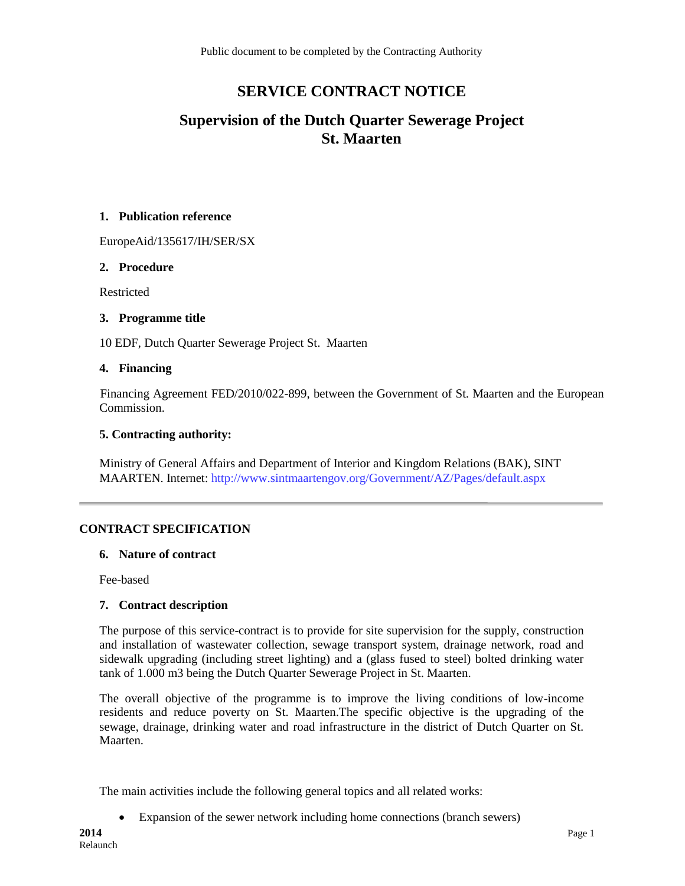# **SERVICE CONTRACT NOTICE**

# **Supervision of the Dutch Quarter Sewerage Project St. Maarten**

#### **1. Publication reference**

EuropeAid/135617/IH/SER/SX

#### **2. Procedure**

Restricted

# **3. Programme title**

10 EDF, Dutch Quarter Sewerage Project St. Maarten

#### **4. Financing**

Financing Agreement FED/2010/022-899, between the Government of St. Maarten and the European Commission.

# **5. Contracting authority:**

Ministry of General Affairs and Department of Interior and Kingdom Relations (BAK), SINT MAARTEN. Internet:<http://www.sintmaartengov.org/Government/AZ/Pages/default.aspx>

# **CONTRACT SPECIFICATION**

#### **6. Nature of contract**

Fee-based

# **7. Contract description**

The purpose of this service-contract is to provide for site supervision for the supply, construction and installation of wastewater collection, sewage transport system, drainage network, road and sidewalk upgrading (including street lighting) and a (glass fused to steel) bolted drinking water tank of 1.000 m3 being the Dutch Quarter Sewerage Project in St. Maarten.

The overall objective of the programme is to improve the living conditions of low-income residents and reduce poverty on St. Maarten.The specific objective is the upgrading of the sewage, drainage, drinking water and road infrastructure in the district of Dutch Quarter on St. Maarten.

The main activities include the following general topics and all related works:

Expansion of the sewer network including home connections (branch sewers)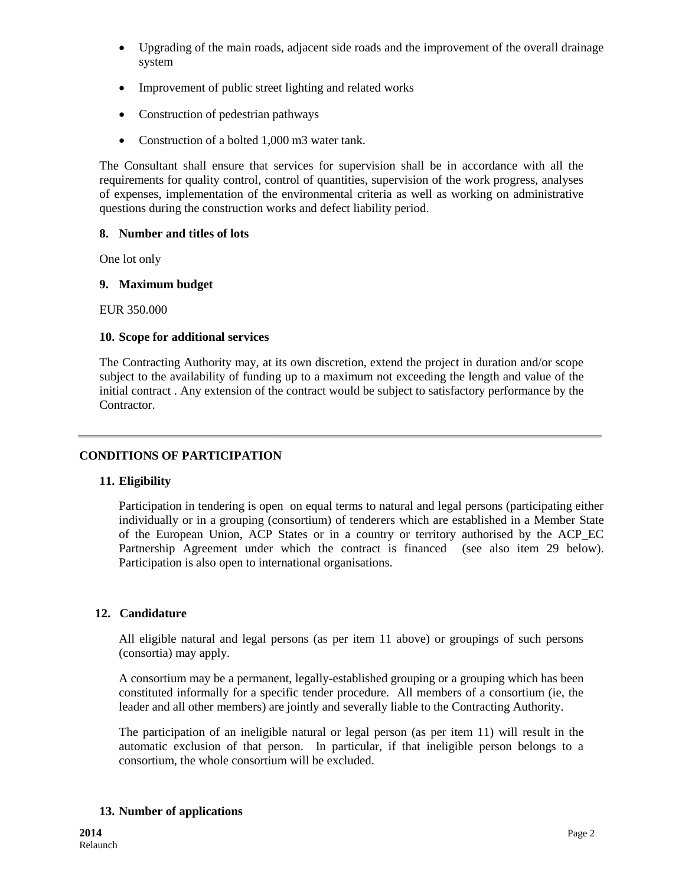- Upgrading of the main roads, adjacent side roads and the improvement of the overall drainage system
- Improvement of public street lighting and related works
- Construction of pedestrian pathways
- Construction of a bolted 1,000 m3 water tank.

The Consultant shall ensure that services for supervision shall be in accordance with all the requirements for quality control, control of quantities, supervision of the work progress, analyses of expenses, implementation of the environmental criteria as well as working on administrative questions during the construction works and defect liability period.

# **8. Number and titles of lots**

One lot only

# **9. Maximum budget**

EUR 350.000

# **10. Scope for additional services**

The Contracting Authority may, at its own discretion, extend the project in duration and/or scope subject to the availability of funding up to a maximum not exceeding the length and value of the initial contract . Any extension of the contract would be subject to satisfactory performance by the Contractor.

# **CONDITIONS OF PARTICIPATION**

# **11. Eligibility**

Participation in tendering is open on equal terms to natural and legal persons (participating either individually or in a grouping (consortium) of tenderers which are established in a Member State of the European Union, ACP States or in a country or territory authorised by the ACP\_EC Partnership Agreement under which the contract is financed (see also item 29 below). Participation is also open to international organisations.

# **12. Candidature**

All eligible natural and legal persons (as per item 11 above) or groupings of such persons (consortia) may apply.

A consortium may be a permanent, legally-established grouping or a grouping which has been constituted informally for a specific tender procedure. All members of a consortium (ie, the leader and all other members) are jointly and severally liable to the Contracting Authority.

The participation of an ineligible natural or legal person (as per item 11) will result in the automatic exclusion of that person. In particular, if that ineligible person belongs to a consortium, the whole consortium will be excluded.

# **13. Number of applications**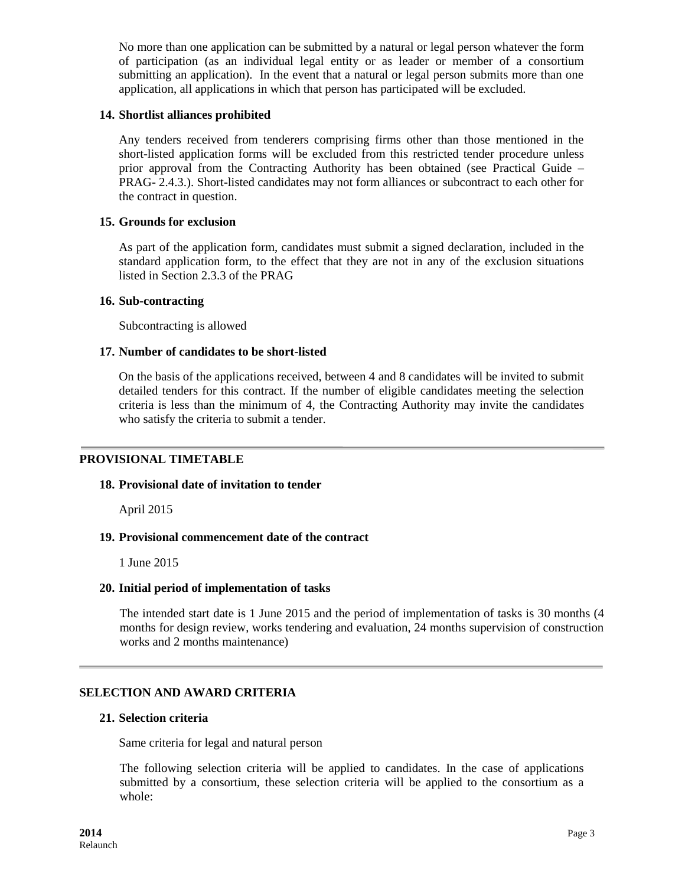No more than one application can be submitted by a natural or legal person whatever the form of participation (as an individual legal entity or as leader or member of a consortium submitting an application). In the event that a natural or legal person submits more than one application, all applications in which that person has participated will be excluded.

#### **14. Shortlist alliances prohibited**

Any tenders received from tenderers comprising firms other than those mentioned in the short-listed application forms will be excluded from this restricted tender procedure unless prior approval from the Contracting Authority has been obtained (see Practical Guide – PRAG- 2.4.3.). Short-listed candidates may not form alliances or subcontract to each other for the contract in question.

### **15. Grounds for exclusion**

As part of the application form, candidates must submit a signed declaration, included in the standard application form, to the effect that they are not in any of the exclusion situations listed in Section 2.3.3 of the PRAG

#### **16. Sub-contracting**

Subcontracting is allowed

#### **17. Number of candidates to be short-listed**

On the basis of the applications received, between 4 and 8 candidates will be invited to submit detailed tenders for this contract. If the number of eligible candidates meeting the selection criteria is less than the minimum of 4, the Contracting Authority may invite the candidates who satisfy the criteria to submit a tender.

# **PROVISIONAL TIMETABLE**

#### **18. Provisional date of invitation to tender**

April 2015

# **19. Provisional commencement date of the contract**

1 June 2015

# **20. Initial period of implementation of tasks**

The intended start date is 1 June 2015 and the period of implementation of tasks is 30 months (4 months for design review, works tendering and evaluation, 24 months supervision of construction works and 2 months maintenance)

# **SELECTION AND AWARD CRITERIA**

#### **21. Selection criteria**

Same criteria for legal and natural person

The following selection criteria will be applied to candidates. In the case of applications submitted by a consortium, these selection criteria will be applied to the consortium as a whole: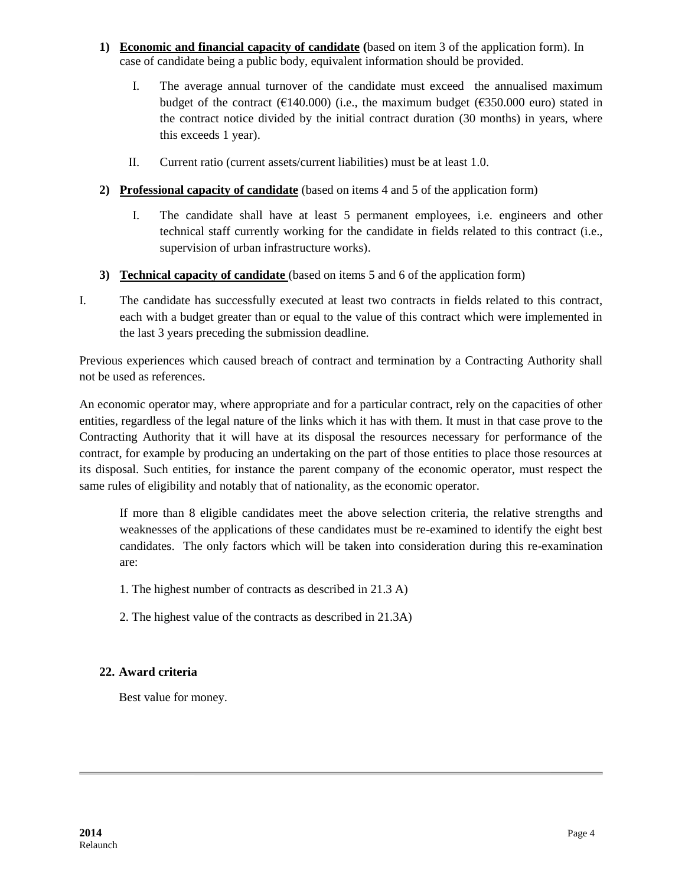- **1) Economic and financial capacity of candidate (**based on item 3 of the application form). In case of candidate being a public body, equivalent information should be provided.
	- I. The average annual turnover of the candidate must exceed the annualised maximum budget of the contract ( $E140.000$ ) (i.e., the maximum budget ( $E350.000$  euro) stated in the contract notice divided by the initial contract duration (30 months) in years, where this exceeds 1 year).
	- II. Current ratio (current assets/current liabilities) must be at least 1.0.
- **2) Professional capacity of candidate** (based on items 4 and 5 of the application form)
	- I. The candidate shall have at least 5 permanent employees, i.e. engineers and other technical staff currently working for the candidate in fields related to this contract (i.e., supervision of urban infrastructure works).
- **3) Technical capacity of candidate** (based on items 5 and 6 of the application form)
- I. The candidate has successfully executed at least two contracts in fields related to this contract, each with a budget greater than or equal to the value of this contract which were implemented in the last 3 years preceding the submission deadline.

Previous experiences which caused breach of contract and termination by a Contracting Authority shall not be used as references.

An economic operator may, where appropriate and for a particular contract, rely on the capacities of other entities, regardless of the legal nature of the links which it has with them. It must in that case prove to the Contracting Authority that it will have at its disposal the resources necessary for performance of the contract, for example by producing an undertaking on the part of those entities to place those resources at its disposal. Such entities, for instance the parent company of the economic operator, must respect the same rules of eligibility and notably that of nationality, as the economic operator.

If more than 8 eligible candidates meet the above selection criteria, the relative strengths and weaknesses of the applications of these candidates must be re-examined to identify the eight best candidates. The only factors which will be taken into consideration during this re-examination are:

- 1. The highest number of contracts as described in 21.3 A)
- 2. The highest value of the contracts as described in 21.3A)

# **22. Award criteria**

Best value for money.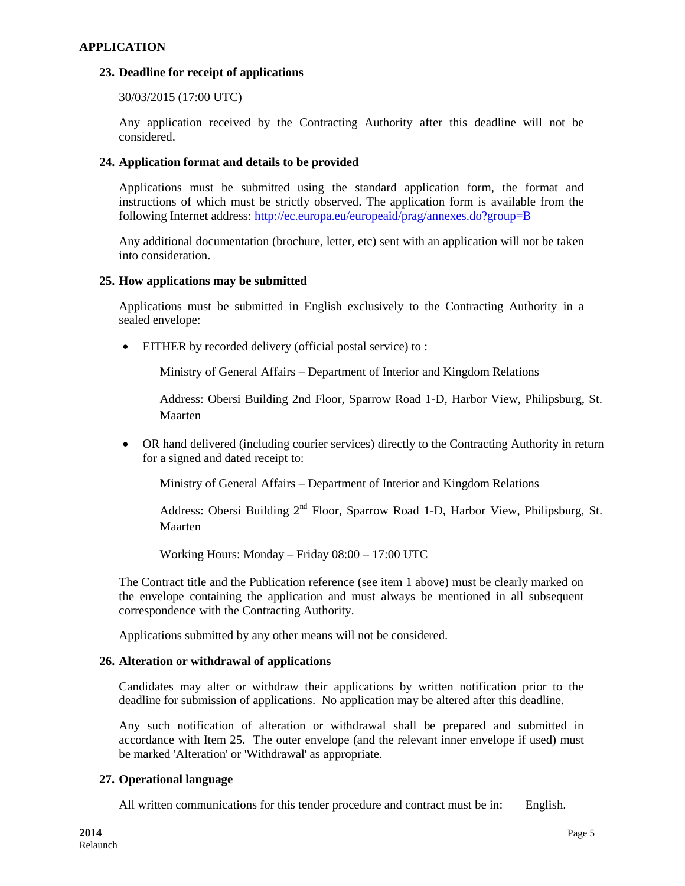# **APPLICATION**

### **23. Deadline for receipt of applications**

30/03/2015 (17:00 UTC)

Any application received by the Contracting Authority after this deadline will not be considered.

### **24. Application format and details to be provided**

Applications must be submitted using the standard application form, the format and instructions of which must be strictly observed. The application form is available from the following Internet address: <http://ec.europa.eu/europeaid/prag/annexes.do?group=B>

Any additional documentation (brochure, letter, etc) sent with an application will not be taken into consideration.

#### **25. How applications may be submitted**

Applications must be submitted in English exclusively to the Contracting Authority in a sealed envelope:

EITHER by recorded delivery (official postal service) to :

Ministry of General Affairs – Department of Interior and Kingdom Relations

Address: Obersi Building 2nd Floor, Sparrow Road 1-D, Harbor View, Philipsburg, St. Maarten

 OR hand delivered (including courier services) directly to the Contracting Authority in return for a signed and dated receipt to:

Ministry of General Affairs – Department of Interior and Kingdom Relations

Address: Obersi Building 2<sup>nd</sup> Floor, Sparrow Road 1-D, Harbor View, Philipsburg, St. Maarten

Working Hours: Monday – Friday 08:00 – 17:00 UTC

The Contract title and the Publication reference (see item 1 above) must be clearly marked on the envelope containing the application and must always be mentioned in all subsequent correspondence with the Contracting Authority.

Applications submitted by any other means will not be considered.

# **26. Alteration or withdrawal of applications**

Candidates may alter or withdraw their applications by written notification prior to the deadline for submission of applications. No application may be altered after this deadline.

Any such notification of alteration or withdrawal shall be prepared and submitted in accordance with Item 25. The outer envelope (and the relevant inner envelope if used) must be marked 'Alteration' or 'Withdrawal' as appropriate.

# **27. Operational language**

All written communications for this tender procedure and contract must be in: English.